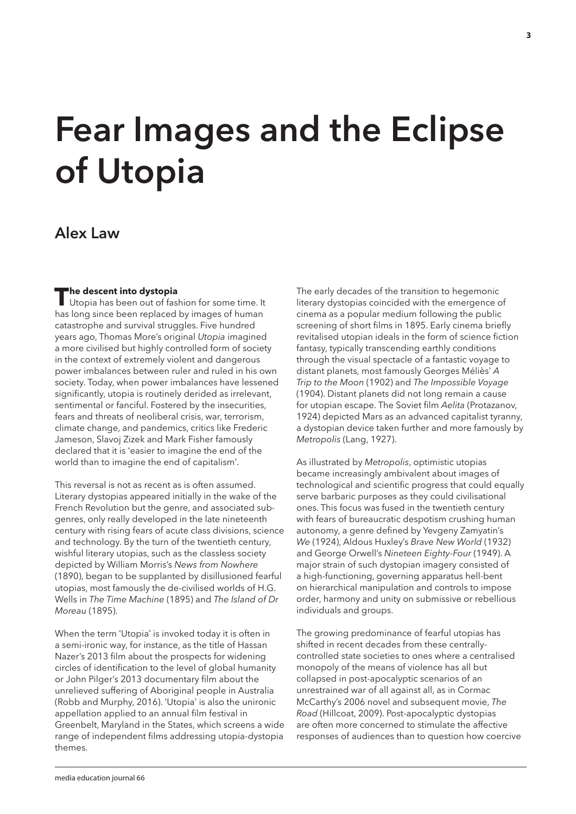# **Fear Images and the Eclipse of Utopia**

## **Alex Law**

**The descent into dystopia**<br>Utopia has been out of fashion for some time. It has long since been replaced by images of human catastrophe and survival struggles. Five hundred years ago, Thomas More's original *Utopia* imagined a more civilised but highly controlled form of society in the context of extremely violent and dangerous power imbalances between ruler and ruled in his own society. Today, when power imbalances have lessened significantly, utopia is routinely derided as irrelevant, sentimental or fanciful. Fostered by the insecurities, fears and threats of neoliberal crisis, war, terrorism, climate change, and pandemics, critics like Frederic Jameson, Slavoj Zizek and Mark Fisher famously declared that it is 'easier to imagine the end of the world than to imagine the end of capitalism'.

This reversal is not as recent as is often assumed. Literary dystopias appeared initially in the wake of the French Revolution but the genre, and associated subgenres, only really developed in the late nineteenth century with rising fears of acute class divisions, science and technology. By the turn of the twentieth century, wishful literary utopias, such as the classless society depicted by William Morris's *News from Nowhere* (1890), began to be supplanted by disillusioned fearful utopias, most famously the de-civilised worlds of H.G. Wells in *The Time Machine* (1895) and *The Island of Dr Moreau* (1895).

When the term 'Utopia' is invoked today it is often in a semi-ironic way, for instance, as the title of Hassan Nazer's 2013 film about the prospects for widening circles of identification to the level of global humanity or John Pilger's 2013 documentary film about the unrelieved suffering of Aboriginal people in Australia (Robb and Murphy, 2016). 'Utopia' is also the unironic appellation applied to an annual film festival in Greenbelt, Maryland in the States, which screens a wide range of independent films addressing utopia-dystopia themes.

The early decades of the transition to hegemonic literary dystopias coincided with the emergence of cinema as a popular medium following the public screening of short films in 1895. Early cinema briefly revitalised utopian ideals in the form of science fiction fantasy, typically transcending earthly conditions through the visual spectacle of a fantastic voyage to distant planets, most famously Georges Méliès' *A Trip to the Moon* (1902) and *The Impossible Voyage* (1904). Distant planets did not long remain a cause for utopian escape. The Soviet film *Aelita* (Protazanov, 1924) depicted Mars as an advanced capitalist tyranny, a dystopian device taken further and more famously by *Metropolis* (Lang, 1927).

As illustrated by *Metropolis*, optimistic utopias became increasingly ambivalent about images of technological and scientific progress that could equally serve barbaric purposes as they could civilisational ones. This focus was fused in the twentieth century with fears of bureaucratic despotism crushing human autonomy, a genre defined by Yevgeny Zamyatin's *We* (1924), Aldous Huxley's *Brave New World* (1932) and George Orwell's *Nineteen Eighty-Four* (1949). A major strain of such dystopian imagery consisted of a high-functioning, governing apparatus hell-bent on hierarchical manipulation and controls to impose order, harmony and unity on submissive or rebellious individuals and groups.

The growing predominance of fearful utopias has shifted in recent decades from these centrallycontrolled state societies to ones where a centralised monopoly of the means of violence has all but collapsed in post-apocalyptic scenarios of an unrestrained war of all against all, as in Cormac McCarthy's 2006 novel and subsequent movie, *The Road* (Hillcoat, 2009). Post-apocalyptic dystopias are often more concerned to stimulate the affective responses of audiences than to question how coercive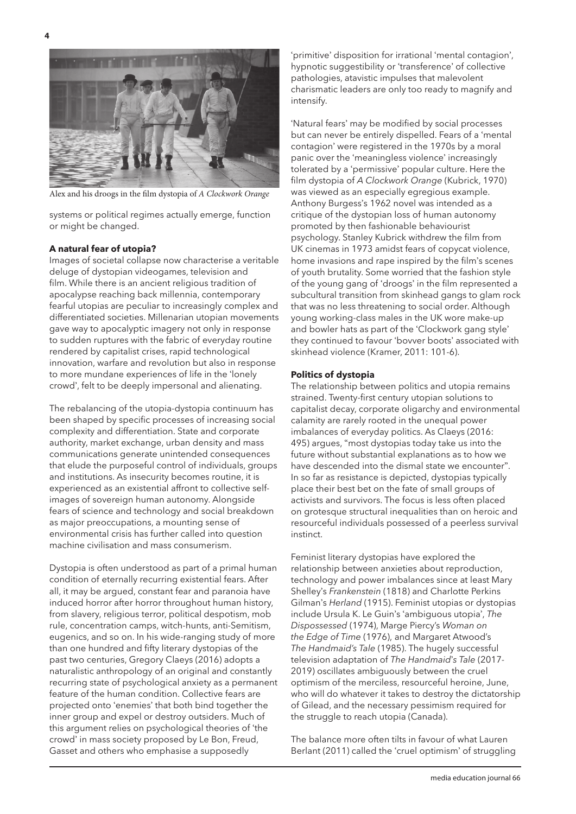

Alex and his droogs in the film dystopia of *A Clockwork Orange*

systems or political regimes actually emerge, function or might be changed.

#### **A natural fear of utopia?**

Images of societal collapse now characterise a veritable deluge of dystopian videogames, television and film. While there is an ancient religious tradition of apocalypse reaching back millennia, contemporary fearful utopias are peculiar to increasingly complex and differentiated societies. Millenarian utopian movements gave way to apocalyptic imagery not only in response to sudden ruptures with the fabric of everyday routine rendered by capitalist crises, rapid technological innovation, warfare and revolution but also in response to more mundane experiences of life in the 'lonely crowd', felt to be deeply impersonal and alienating.

The rebalancing of the utopia-dystopia continuum has been shaped by specific processes of increasing social complexity and differentiation. State and corporate authority, market exchange, urban density and mass communications generate unintended consequences that elude the purposeful control of individuals, groups and institutions. As insecurity becomes routine, it is experienced as an existential affront to collective selfimages of sovereign human autonomy. Alongside fears of science and technology and social breakdown as major preoccupations, a mounting sense of environmental crisis has further called into question machine civilisation and mass consumerism.

Dystopia is often understood as part of a primal human condition of eternally recurring existential fears. After all, it may be argued, constant fear and paranoia have induced horror after horror throughout human history, from slavery, religious terror, political despotism, mob rule, concentration camps, witch-hunts, anti-Semitism, eugenics, and so on. In his wide-ranging study of more than one hundred and fifty literary dystopias of the past two centuries, Gregory Claeys (2016) adopts a naturalistic anthropology of an original and constantly recurring state of psychological anxiety as a permanent feature of the human condition. Collective fears are projected onto 'enemies' that both bind together the inner group and expel or destroy outsiders. Much of this argument relies on psychological theories of 'the crowd' in mass society proposed by Le Bon, Freud, Gasset and others who emphasise a supposedly

'primitive' disposition for irrational 'mental contagion', hypnotic suggestibility or 'transference' of collective pathologies, atavistic impulses that malevolent charismatic leaders are only too ready to magnify and intensify.

'Natural fears' may be modified by social processes but can never be entirely dispelled. Fears of a 'mental contagion' were registered in the 1970s by a moral panic over the 'meaningless violence' increasingly tolerated by a 'permissive' popular culture. Here the film dystopia of *A Clockwork Orange* (Kubrick, 1970) was viewed as an especially egregious example. Anthony Burgess's 1962 novel was intended as a critique of the dystopian loss of human autonomy promoted by then fashionable behaviourist psychology. Stanley Kubrick withdrew the film from UK cinemas in 1973 amidst fears of copycat violence, home invasions and rape inspired by the film's scenes of youth brutality. Some worried that the fashion style of the young gang of 'droogs' in the film represented a subcultural transition from skinhead gangs to glam rock that was no less threatening to social order. Although young working-class males in the UK wore make-up and bowler hats as part of the 'Clockwork gang style' they continued to favour 'bovver boots' associated with skinhead violence (Kramer, 2011: 101-6).

#### **Politics of dystopia**

The relationship between politics and utopia remains strained. Twenty-first century utopian solutions to capitalist decay, corporate oligarchy and environmental calamity are rarely rooted in the unequal power imbalances of everyday politics. As Claeys (2016: 495) argues, "most dystopias today take us into the future without substantial explanations as to how we have descended into the dismal state we encounter". In so far as resistance is depicted, dystopias typically place their best bet on the fate of small groups of activists and survivors. The focus is less often placed on grotesque structural inequalities than on heroic and resourceful individuals possessed of a peerless survival instinct.

Feminist literary dystopias have explored the relationship between anxieties about reproduction, technology and power imbalances since at least Mary Shelley's *Frankenstein* (1818) and Charlotte Perkins Gilman's *Herland* (1915). Feminist utopias or dystopias include Ursula K. Le Guin's 'ambiguous utopia', *The Dispossessed* (1974), Marge Piercy's *Woman on the Edge of Time* (1976), and Margaret Atwood's *The Handmaid's Tale* (1985). The hugely successful television adaptation of *The Handmaid*'*s Tale* (2017- 2019) oscillates ambiguously between the cruel optimism of the merciless, resourceful heroine, June, who will do whatever it takes to destroy the dictatorship of Gilead, and the necessary pessimism required for the struggle to reach utopia (Canada).

The balance more often tilts in favour of what Lauren Berlant (2011) called the 'cruel optimism' of struggling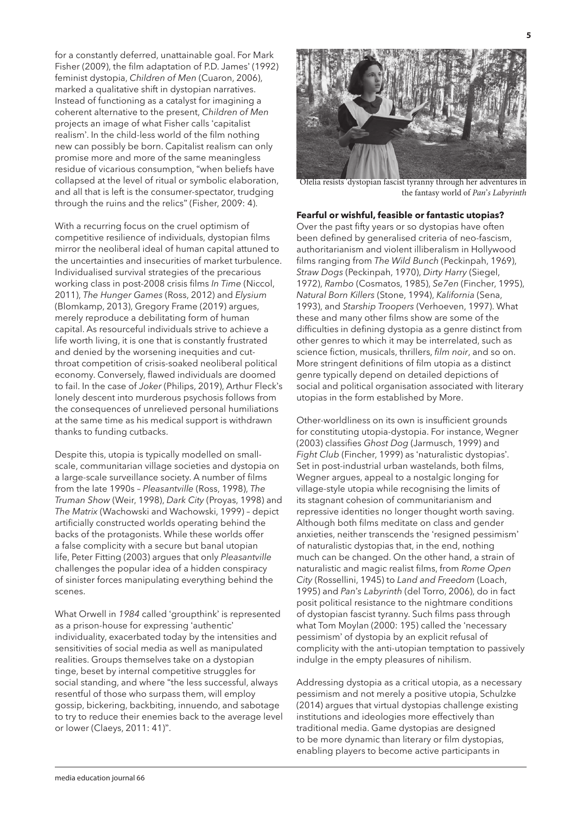for a constantly deferred, unattainable goal. For Mark Fisher (2009), the film adaptation of P.D. James' (1992) feminist dystopia, *Children of Men* (Cuaron, 2006), marked a qualitative shift in dystopian narratives. Instead of functioning as a catalyst for imagining a coherent alternative to the present, *Children of Men* projects an image of what Fisher calls 'capitalist realism'. In the child-less world of the film nothing new can possibly be born. Capitalist realism can only promise more and more of the same meaningless residue of vicarious consumption, "when beliefs have collapsed at the level of ritual or symbolic elaboration, and all that is left is the consumer-spectator, trudging through the ruins and the relics" (Fisher, 2009: 4).

With a recurring focus on the cruel optimism of competitive resilience of individuals, dystopian films mirror the neoliberal ideal of human capital attuned to the uncertainties and insecurities of market turbulence. Individualised survival strategies of the precarious working class in post-2008 crisis films *In Time* (Niccol, 2011), *The Hunger Games* (Ross, 2012) and *Elysium* (Blomkamp, 2013), Gregory Frame (2019) argues, merely reproduce a debilitating form of human capital. As resourceful individuals strive to achieve a life worth living, it is one that is constantly frustrated and denied by the worsening inequities and cutthroat competition of crisis-soaked neoliberal political economy. Conversely, flawed individuals are doomed to fail. In the case of *Joker* (Philips, 2019), Arthur Fleck's lonely descent into murderous psychosis follows from the consequences of unrelieved personal humiliations at the same time as his medical support is withdrawn thanks to funding cutbacks.

Despite this, utopia is typically modelled on smallscale, communitarian village societies and dystopia on a large-scale surveillance society. A number of films from the late 1990s – *Pleasantville* (Ross, 1998), *The Truman Show* (Weir, 1998), *Dark City* (Proyas, 1998) and *The Matrix* (Wachowski and Wachowski, 1999) – depict artificially constructed worlds operating behind the backs of the protagonists. While these worlds offer a false complicity with a secure but banal utopian life, Peter Fitting (2003) argues that only *Pleasantville* challenges the popular idea of a hidden conspiracy of sinister forces manipulating everything behind the scenes.

What Orwell in *1984* called 'groupthink' is represented as a prison-house for expressing 'authentic' individuality, exacerbated today by the intensities and sensitivities of social media as well as manipulated realities. Groups themselves take on a dystopian tinge, beset by internal competitive struggles for social standing, and where "the less successful, always resentful of those who surpass them, will employ gossip, bickering, backbiting, innuendo, and sabotage to try to reduce their enemies back to the average level or lower (Claeys, 2011: 41)".



Ofelia resists 'dystopian fascist tyranny through her adventures in the fantasy world of *Pan*'*s Labyrinth*

#### **Fearful or wishful, feasible or fantastic utopias?**

Over the past fifty years or so dystopias have often been defined by generalised criteria of neo-fascism, authoritarianism and violent illiberalism in Hollywood films ranging from *The Wild Bunch* (Peckinpah, 1969), *Straw Dogs* (Peckinpah, 1970), *Dirty Harry* (Siegel, 1972), *Rambo* (Cosmatos, 1985), *Se7en* (Fincher, 1995), *Natural Born Killers* (Stone, 1994), *Kalifornia* (Sena, 1993), and *Starship Troopers* (Verhoeven, 1997). What these and many other films show are some of the difficulties in defining dystopia as a genre distinct from other genres to which it may be interrelated, such as science fiction, musicals, thrillers, *film noir*, and so on. More stringent definitions of film utopia as a distinct genre typically depend on detailed depictions of social and political organisation associated with literary utopias in the form established by More.

Other-worldliness on its own is insufficient grounds for constituting utopia-dystopia. For instance, Wegner (2003) classifies *Ghost Dog* (Jarmusch, 1999) and *Fight Club* (Fincher, 1999) as 'naturalistic dystopias'. Set in post-industrial urban wastelands, both films, Wegner argues, appeal to a nostalgic longing for village-style utopia while recognising the limits of its stagnant cohesion of communitarianism and repressive identities no longer thought worth saving. Although both films meditate on class and gender anxieties, neither transcends the 'resigned pessimism' of naturalistic dystopias that, in the end, nothing much can be changed. On the other hand, a strain of naturalistic and magic realist films, from *Rome Open City* (Rossellini, 1945) to *Land and Freedom* (Loach, 1995) and *Pan*'*s Labyrinth* (del Torro, 2006), do in fact posit political resistance to the nightmare conditions of dystopian fascist tyranny. Such films pass through what Tom Moylan (2000: 195) called the 'necessary pessimism' of dystopia by an explicit refusal of complicity with the anti-utopian temptation to passively indulge in the empty pleasures of nihilism.

Addressing dystopia as a critical utopia, as a necessary pessimism and not merely a positive utopia, Schulzke (2014) argues that virtual dystopias challenge existing institutions and ideologies more effectively than traditional media. Game dystopias are designed to be more dynamic than literary or film dystopias, enabling players to become active participants in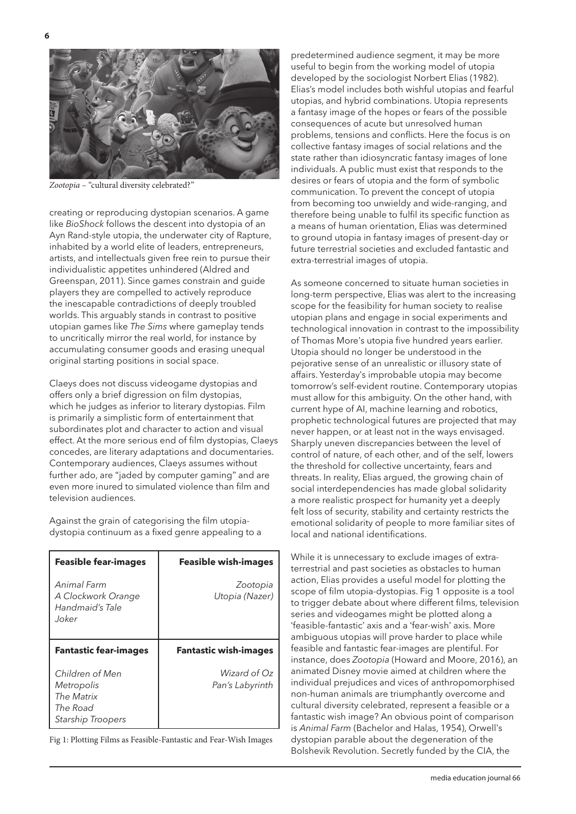

*Zootopia* – "cultural diversity celebrated?"

creating or reproducing dystopian scenarios. A game like *BioShock* follows the descent into dystopia of an Ayn Rand-style utopia, the underwater city of Rapture, inhabited by a world elite of leaders, entrepreneurs, artists, and intellectuals given free rein to pursue their individualistic appetites unhindered (Aldred and Greenspan, 2011). Since games constrain and guide players they are compelled to actively reproduce the inescapable contradictions of deeply troubled worlds. This arguably stands in contrast to positive utopian games like *The Sims* where gameplay tends to uncritically mirror the real world, for instance by accumulating consumer goods and erasing unequal original starting positions in social space.

Claeys does not discuss videogame dystopias and offers only a brief digression on film dystopias, which he judges as inferior to literary dystopias. Film is primarily a simplistic form of entertainment that subordinates plot and character to action and visual effect. At the more serious end of film dystopias, Claeys concedes, are literary adaptations and documentaries. Contemporary audiences, Claeys assumes without further ado, are "jaded by computer gaming" and are even more inured to simulated violence than film and television audiences.

Against the grain of categorising the film utopiadystopia continuum as a fixed genre appealing to a

| <b>Feasible fear-images</b>                                   | <b>Feasible wish-images</b>     |
|---------------------------------------------------------------|---------------------------------|
| Animal Farm<br>A Clockwork Orange<br>Handmaid's Tale<br>Joker | Zootopia<br>Utopia (Nazer)      |
| <b>Fantastic fear-images</b>                                  | <b>Fantastic wish-images</b>    |
| Children of Men<br>Metropolis<br>The Matrix                   | Wizard of Oz<br>Pan's Labyrinth |

Fig 1: Plotting Films as Feasible-Fantastic and Fear-Wish Images

predetermined audience segment, it may be more useful to begin from the working model of utopia developed by the sociologist Norbert Elias (1982). Elias's model includes both wishful utopias and fearful utopias, and hybrid combinations. Utopia represents a fantasy image of the hopes or fears of the possible consequences of acute but unresolved human problems, tensions and conflicts. Here the focus is on collective fantasy images of social relations and the state rather than idiosyncratic fantasy images of lone individuals. A public must exist that responds to the desires or fears of utopia and the form of symbolic communication. To prevent the concept of utopia from becoming too unwieldy and wide-ranging, and therefore being unable to fulfil its specific function as a means of human orientation, Elias was determined to ground utopia in fantasy images of present-day or future terrestrial societies and excluded fantastic and extra-terrestrial images of utopia.

As someone concerned to situate human societies in long-term perspective, Elias was alert to the increasing scope for the feasibility for human society to realise utopian plans and engage in social experiments and technological innovation in contrast to the impossibility of Thomas More's utopia five hundred years earlier. Utopia should no longer be understood in the pejorative sense of an unrealistic or illusory state of affairs. Yesterday's improbable utopia may become tomorrow's self-evident routine. Contemporary utopias must allow for this ambiguity. On the other hand, with current hype of AI, machine learning and robotics, prophetic technological futures are projected that may never happen, or at least not in the ways envisaged. Sharply uneven discrepancies between the level of control of nature, of each other, and of the self, lowers the threshold for collective uncertainty, fears and threats. In reality, Elias argued, the growing chain of social interdependencies has made global solidarity a more realistic prospect for humanity yet a deeply felt loss of security, stability and certainty restricts the emotional solidarity of people to more familiar sites of local and national identifications.

While it is unnecessary to exclude images of extraterrestrial and past societies as obstacles to human action, Elias provides a useful model for plotting the scope of film utopia-dystopias. Fig 1 opposite is a tool to trigger debate about where different films, television series and videogames might be plotted along a 'feasible-fantastic' axis and a 'fear-wish' axis. More ambiguous utopias will prove harder to place while feasible and fantastic fear-images are plentiful. For instance, does *Zootopia* (Howard and Moore, 2016), an animated Disney movie aimed at children where the individual prejudices and vices of anthropomorphised non-human animals are triumphantly overcome and cultural diversity celebrated, represent a feasible or a fantastic wish image? An obvious point of comparison is *Animal Farm* (Bachelor and Halas, 1954), Orwell's dystopian parable about the degeneration of the Bolshevik Revolution. Secretly funded by the CIA, the